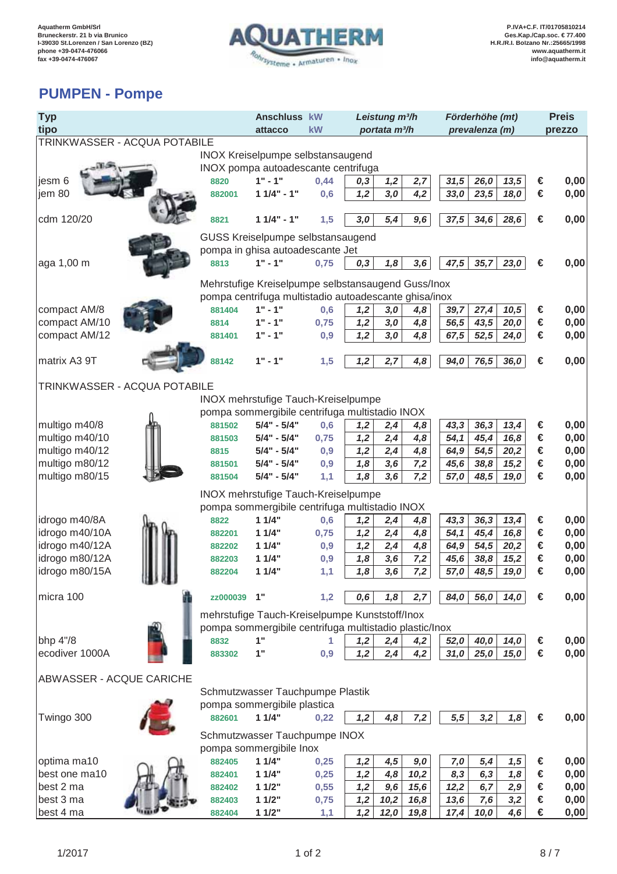

## **PUMPEN - Pompe**

| <b>Typ</b>                      |                                                       | Anschluss kW                                           | Leistung m <sup>3/h</sup> |                           |      |      | Förderhöhe (mt) | <b>Preis</b> |      |        |      |
|---------------------------------|-------------------------------------------------------|--------------------------------------------------------|---------------------------|---------------------------|------|------|-----------------|--------------|------|--------|------|
| tipo                            |                                                       | attacco                                                | kW                        | portata m <sup>3</sup> /h |      |      | prevalenza (m)  |              |      | prezzo |      |
| TRINKWASSER - ACQUA POTABILE    |                                                       |                                                        |                           |                           |      |      |                 |              |      |        |      |
|                                 |                                                       | <b>INOX Kreiselpumpe selbstansaugend</b>               |                           |                           |      |      |                 |              |      |        |      |
|                                 |                                                       | INOX pompa autoadescante centrifuga                    |                           |                           |      |      |                 |              |      |        |      |
| jesm 6                          | 8820                                                  | $1" - 1"$                                              | 0,44                      | 0,3                       | 1,2  | 2,7  | 31,5            | 26,0         | 13,5 | €      | 0,00 |
| jem 80                          | 882001                                                | $11/4" - 1"$                                           | 0,6                       | 1,2                       | 3,0  | 4,2  | 33,0            | 23,5         | 18,0 | €      | 0,00 |
|                                 |                                                       |                                                        |                           |                           |      |      |                 |              |      |        |      |
| cdm 120/20                      | 8821                                                  | $11/4" - 1"$                                           | 1,5                       | 3,0                       | 5,4  | 9,6  | 37,5            | 34,6         | 28,6 | €      | 0,00 |
|                                 |                                                       | GUSS Kreiselpumpe selbstansaugend                      |                           |                           |      |      |                 |              |      |        |      |
|                                 | pompa in ghisa autoadescante Jet                      |                                                        |                           |                           |      |      |                 |              |      |        |      |
| aga 1,00 m                      | 8813                                                  | $1" - 1"$                                              | 0,75                      | 0,3                       | 1,8  | 3,6  | 47,5            | 35,7         | 23,0 | €      | 0,00 |
|                                 |                                                       |                                                        |                           |                           |      |      |                 |              |      |        |      |
|                                 | Mehrstufige Kreiselpumpe selbstansaugend Guss/Inox    |                                                        |                           |                           |      |      |                 |              |      |        |      |
|                                 | pompa centrifuga multistadio autoadescante ghisa/inox |                                                        |                           |                           |      |      |                 |              |      |        |      |
| compact AM/8                    | 881404                                                | $1" - 1"$                                              | 0,6                       | 1,2                       | 3,0  | 4,8  | 39,7            | 27,4         | 10,5 | €      | 0,00 |
| compact AM/10                   | 8814                                                  | $1" - 1"$                                              | 0,75                      | 1,2                       | 3,0  | 4,8  | 56,5            | 43,5         | 20,0 | €      | 0,00 |
| compact AM/12                   | 881401                                                | $1" - 1"$                                              | 0,9                       | 1,2                       | 3,0  | 4,8  | 67,5            | 52,5         | 24,0 | €      | 0,00 |
|                                 |                                                       |                                                        |                           |                           |      |      |                 |              |      |        |      |
| matrix A3 9T                    | 88142                                                 | $1" - 1"$                                              | 1,5                       | 1,2                       | 2,7  | 4,8  | 94,0            | 76,5         | 36,0 | €      | 0,00 |
|                                 |                                                       |                                                        |                           |                           |      |      |                 |              |      |        |      |
| TRINKWASSER - ACQUA POTABILE    |                                                       |                                                        |                           |                           |      |      |                 |              |      |        |      |
|                                 |                                                       | INOX mehrstufige Tauch-Kreiselpumpe                    |                           |                           |      |      |                 |              |      |        |      |
|                                 |                                                       | pompa sommergibile centrifuga multistadio INOX         |                           |                           |      |      |                 |              |      |        |      |
| multigo m40/8                   | 881502                                                | $5/4" - 5/4"$                                          | 0,6                       | 1,2                       | 2,4  | 4,8  | 43,3            | 36,3         | 13,4 | €      | 0,00 |
| multigo m40/10                  | 881503                                                | $5/4" - 5/4"$                                          | 0,75                      | 1,2                       | 2,4  | 4,8  | 54,1            | 45,4         | 16,8 | €      | 0,00 |
| multigo m40/12                  | 8815                                                  | $5/4" - 5/4"$                                          | 0,9                       | 1,2                       | 2,4  | 4,8  | 64,9            | 54,5         | 20,2 | €      | 0,00 |
| multigo m80/12                  | 881501                                                | $5/4" - 5/4"$                                          | 0,9                       | 1,8                       | 3,6  | 7,2  | 45,6            | 38,8         | 15,2 | €      | 0,00 |
| multigo m80/15                  | 881504                                                | $5/4" - 5/4"$                                          | 1,1                       | 1,8                       | 3,6  | 7,2  | 57,0            | 48,5         | 19,0 | €      | 0,00 |
|                                 |                                                       |                                                        |                           |                           |      |      |                 |              |      |        |      |
|                                 |                                                       | INOX mehrstufige Tauch-Kreiselpumpe                    |                           |                           |      |      |                 |              |      |        |      |
|                                 |                                                       | pompa sommergibile centrifuga multistadio INOX         |                           |                           |      |      |                 |              |      |        |      |
| idrogo m40/8A                   | 8822                                                  | 11/4"                                                  | 0,6                       | 1,2                       | 2,4  | 4,8  | 43,3            | 36,3         | 13,4 | €      | 0,00 |
| idrogo m40/10A                  | 882201                                                | 11/4"                                                  | 0,75                      | 1,2                       | 2,4  | 4,8  | 54,1            | 45,4         | 16,8 | €      | 0,00 |
| idrogo m40/12A                  | 882202                                                | 11/4"                                                  | 0,9                       | 1,2                       | 2,4  | 4,8  | 64,9            | 54,5         | 20,2 | €      | 0,00 |
| idrogo m80/12A                  | 882203                                                | 11/4"                                                  | 0,9                       | 1,8                       | 3,6  | 7,2  | 45,6            | 38,8         | 15,2 | €      | 0,00 |
| idrogo m80/15A<br><b>UD 6.1</b> | 882204                                                | 11/4"                                                  | 1,1                       | 1,8                       | 3,6  | 7,2  | 57,0            | 48,5         | 19,0 | €      | 0,00 |
|                                 |                                                       |                                                        |                           |                           |      |      |                 |              |      |        |      |
| micra 100                       | zz000039 1"                                           |                                                        | 1,2                       | 0,6                       | 1,8  | 2,7  | 84,0            | 56,0         | 14,0 | €      | 0,00 |
|                                 |                                                       | mehrstufige Tauch-Kreiselpumpe Kunststoff/Inox         |                           |                           |      |      |                 |              |      |        |      |
|                                 |                                                       | pompa sommergibile centrifuga multistadio plastic/lnox |                           |                           |      |      |                 |              |      |        |      |
| bhp 4"/8                        | 8832                                                  | 1"                                                     | 1                         | 1,2                       | 2,4  | 4,2  | 52,0            | 40,0         | 14,0 | €      | 0,00 |
| ecodiver 1000A                  | 883302                                                | 1"                                                     | 0,9                       | 1,2                       | 2,4  | 4,2  | 31,0            | 25,0         | 15,0 | €      | 0,00 |
|                                 |                                                       |                                                        |                           |                           |      |      |                 |              |      |        |      |
| ABWASSER - ACQUE CARICHE        |                                                       |                                                        |                           |                           |      |      |                 |              |      |        |      |
|                                 |                                                       | Schmutzwasser Tauchpumpe Plastik                       |                           |                           |      |      |                 |              |      |        |      |
|                                 |                                                       | pompa sommergibile plastica                            |                           |                           |      |      |                 |              |      |        |      |
| Twingo 300                      | 882601                                                | 11/4"                                                  | 0,22                      | 1,2                       | 4,8  | 7,2  | 5,5             | 3,2          | 1,8  | €      | 0,00 |
|                                 |                                                       |                                                        |                           |                           |      |      |                 |              |      |        |      |
|                                 |                                                       | Schmutzwasser Tauchpumpe INOX                          |                           |                           |      |      |                 |              |      |        |      |
|                                 |                                                       | pompa sommergibile Inox                                |                           |                           |      |      |                 |              |      |        |      |
| optima ma10                     | 882405                                                | 11/4"                                                  | 0,25                      | 1,2                       | 4,5  | 9,0  | 7,0             | 5,4          | 1,5  | €      | 0,00 |
| best one ma10                   | 882401                                                | 11/4"                                                  | 0,25                      | 1,2                       | 4,8  | 10,2 | 8,3             | 6, 3         | 1,8  | €      | 0,00 |
| best 2 ma                       | 882402                                                | 11/2"                                                  | 0,55                      | 1,2                       | 9,6  | 15,6 | 12,2            | 6,7          | 2,9  | €      | 0,00 |
| best 3 ma                       | 882403                                                | 11/2"                                                  | 0,75                      | 1,2                       | 10,2 | 16,8 | 13,6            | 7,6          | 3,2  | €      | 0,00 |
| best 4 ma                       | 882404                                                | 11/2"                                                  | 1,1                       | 1,2                       | 12,0 | 19,8 | 17,4            | 10,0         | 4,6  | €      | 0,00 |